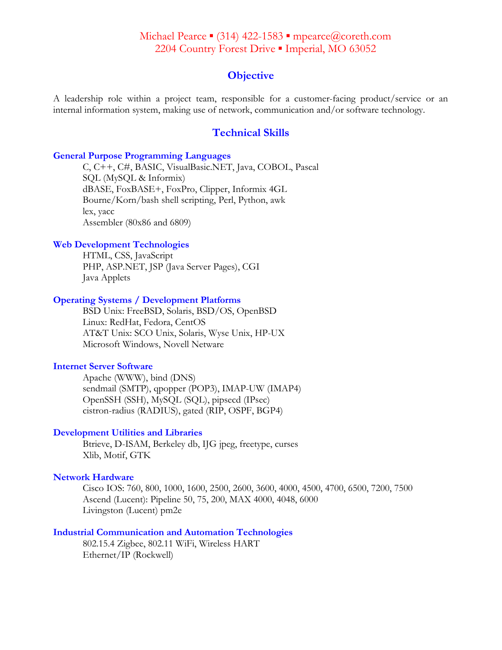# Michael Pearce ▪ (314) 422-1583 ▪ mpearce@coreth.com 2204 Country Forest Drive . Imperial, MO 63052

# **Objective**

A leadership role within a project team, responsible for a customer-facing product/service or an internal information system, making use of network, communication and/or software technology.

# **Technical Skills**

### **General Purpose Programming Languages**

C, C++, C#, BASIC, VisualBasic.NET, Java, COBOL, Pascal SQL (MySQL & Informix) dBASE, FoxBASE+, FoxPro, Clipper, Informix 4GL Bourne/Korn/bash shell scripting, Perl, Python, awk lex, yacc Assembler (80x86 and 6809)

### **Web Development Technologies**

HTML, CSS, JavaScript PHP, ASP.NET, JSP (Java Server Pages), CGI Java Applets

### **Operating Systems / Development Platforms**

BSD Unix: FreeBSD, Solaris, BSD/OS, OpenBSD Linux: RedHat, Fedora, CentOS AT&T Unix: SCO Unix, Solaris, Wyse Unix, HP-UX Microsoft Windows, Novell Netware

### **Internet Server Software**

Apache (WWW), bind (DNS) sendmail (SMTP), qpopper (POP3), IMAP-UW (IMAP4) OpenSSH (SSH), MySQL (SQL), pipsecd (IPsec) cistron-radius (RADIUS), gated (RIP, OSPF, BGP4)

### **Development Utilities and Libraries**

Btrieve, D-ISAM, Berkeley db, IJG jpeg, freetype, curses Xlib, Motif, GTK

### **Network Hardware**

Cisco IOS: 760, 800, 1000, 1600, 2500, 2600, 3600, 4000, 4500, 4700, 6500, 7200, 7500 Ascend (Lucent): Pipeline 50, 75, 200, MAX 4000, 4048, 6000 Livingston (Lucent) pm2e

## **Industrial Communication and Automation Technologies**

802.15.4 Zigbee, 802.11 WiFi, Wireless HART Ethernet/IP (Rockwell)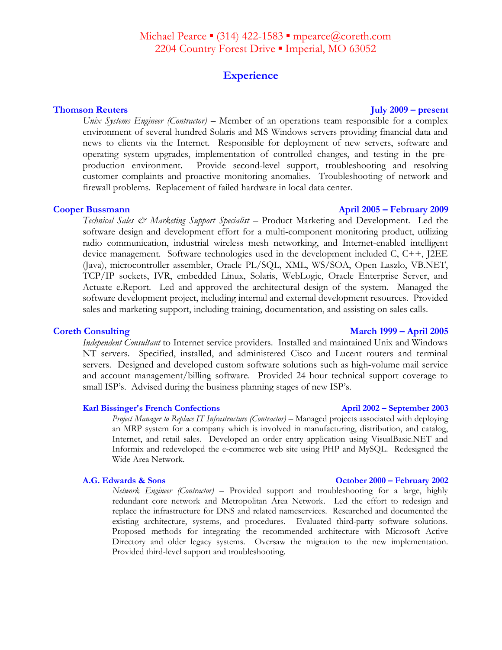# Michael Pearce ▪ (314) 422-1583 ▪ mpearce@coreth.com 2204 Country Forest Drive • Imperial, MO 63052

# **Experience**

### **Thomson Reuters July 2009 – present**

*Unix Systems Engineer (Contractor)* – Member of an operations team responsible for a complex environment of several hundred Solaris and MS Windows servers providing financial data and news to clients via the Internet. Responsible for deployment of new servers, software and operating system upgrades, implementation of controlled changes, and testing in the preproduction environment. Provide second-level support, troubleshooting and resolving customer complaints and proactive monitoring anomalies. Troubleshooting of network and firewall problems. Replacement of failed hardware in local data center.

### **Cooper Bussmann April 2005 – February 2009**

*Technical Sales & Marketing Support Specialist* – Product Marketing and Development. Led the software design and development effort for a multi-component monitoring product, utilizing radio communication, industrial wireless mesh networking, and Internet-enabled intelligent device management. Software technologies used in the development included C, C++, J2EE (Java), microcontroller assembler, Oracle PL/SQL, XML, WS/SOA, Open Laszlo, VB.NET, TCP/IP sockets, IVR, embedded Linux, Solaris, WebLogic, Oracle Enterprise Server, and Actuate e.Report. Led and approved the architectural design of the system. Managed the software development project, including internal and external development resources. Provided sales and marketing support, including training, documentation, and assisting on sales calls.

*Independent Consultant* to Internet service providers. Installed and maintained Unix and Windows NT servers. Specified, installed, and administered Cisco and Lucent routers and terminal servers. Designed and developed custom software solutions such as high-volume mail service and account management/billing software. Provided 24 hour technical support coverage to small ISP's. Advised during the business planning stages of new ISP's.

### **Karl Bissinger's French Confections April 2002 – September 2003**

*Project Manager to Replace IT Infrastructure (Contractor)* – Managed projects associated with deploying an MRP system for a company which is involved in manufacturing, distribution, and catalog, Internet, and retail sales. Developed an order entry application using VisualBasic.NET and Informix and redeveloped the e-commerce web site using PHP and MySQL. Redesigned the Wide Area Network.

*Network Engineer (Contractor)* – Provided support and troubleshooting for a large, highly redundant core network and Metropolitan Area Network. Led the effort to redesign and replace the infrastructure for DNS and related nameservices. Researched and documented the existing architecture, systems, and procedures. Evaluated third-party software solutions. Proposed methods for integrating the recommended architecture with Microsoft Active Directory and older legacy systems. Oversaw the migration to the new implementation. Provided third-level support and troubleshooting.

### **Coreth Consulting March 1999 – April 2005**

### **A.G. Edwards & Sons October 2000 – February 2002**